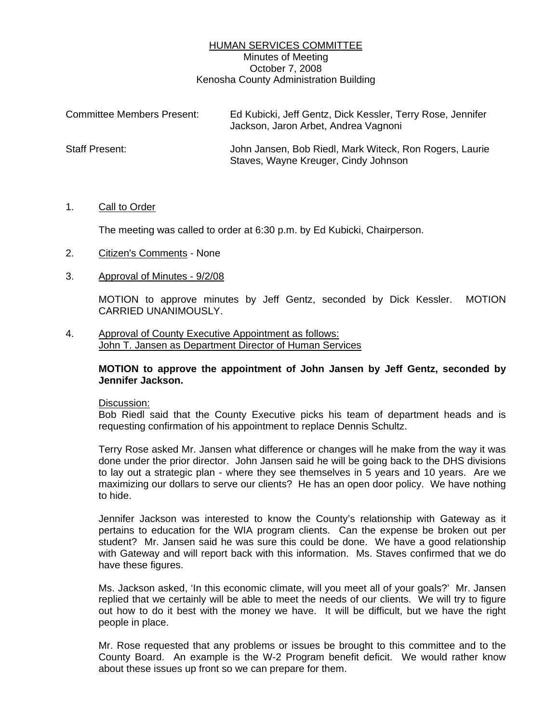## HUMAN SERVICES COMMITTEE Minutes of Meeting October 7, 2008 Kenosha County Administration Building

| <b>Committee Members Present:</b> | Ed Kubicki, Jeff Gentz, Dick Kessler, Terry Rose, Jennifer<br>Jackson, Jaron Arbet, Andrea Vagnoni |
|-----------------------------------|----------------------------------------------------------------------------------------------------|
| Staff Present:                    | John Jansen, Bob Riedl, Mark Witeck, Ron Rogers, Laurie<br>Staves, Wayne Kreuger, Cindy Johnson    |

### 1. Call to Order

The meeting was called to order at 6:30 p.m. by Ed Kubicki, Chairperson.

- 2. Citizen's Comments None
- 3. Approval of Minutes 9/2/08

 MOTION to approve minutes by Jeff Gentz, seconded by Dick Kessler. MOTION CARRIED UNANIMOUSLY.

4. Approval of County Executive Appointment as follows: John T. Jansen as Department Director of Human Services

### **MOTION to approve the appointment of John Jansen by Jeff Gentz, seconded by Jennifer Jackson.**

### Discussion:

 Bob Riedl said that the County Executive picks his team of department heads and is requesting confirmation of his appointment to replace Dennis Schultz.

 Terry Rose asked Mr. Jansen what difference or changes will he make from the way it was done under the prior director. John Jansen said he will be going back to the DHS divisions to lay out a strategic plan - where they see themselves in 5 years and 10 years. Are we maximizing our dollars to serve our clients? He has an open door policy. We have nothing to hide.

 Jennifer Jackson was interested to know the County's relationship with Gateway as it pertains to education for the WIA program clients. Can the expense be broken out per student? Mr. Jansen said he was sure this could be done. We have a good relationship with Gateway and will report back with this information. Ms. Staves confirmed that we do have these figures.

 Ms. Jackson asked, 'In this economic climate, will you meet all of your goals?' Mr. Jansen replied that we certainly will be able to meet the needs of our clients. We will try to figure out how to do it best with the money we have. It will be difficult, but we have the right people in place.

 Mr. Rose requested that any problems or issues be brought to this committee and to the County Board. An example is the W-2 Program benefit deficit. We would rather know about these issues up front so we can prepare for them.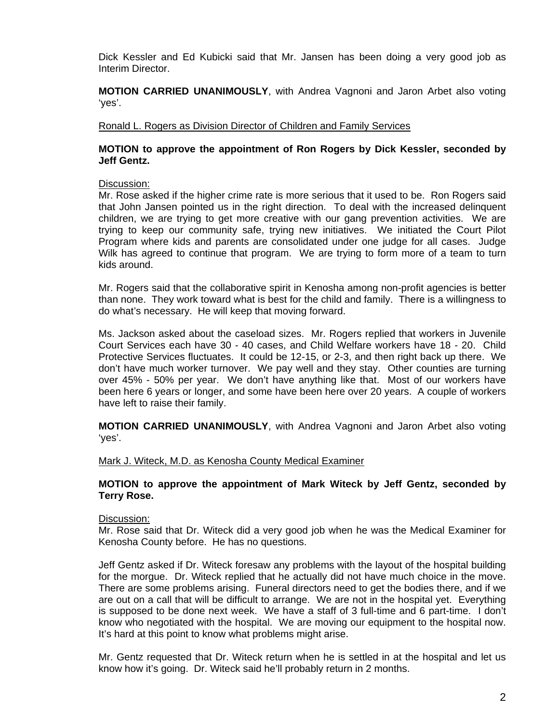Dick Kessler and Ed Kubicki said that Mr. Jansen has been doing a very good job as Interim Director.

**MOTION CARRIED UNANIMOUSLY**, with Andrea Vagnoni and Jaron Arbet also voting 'yes'.

Ronald L. Rogers as Division Director of Children and Family Services

## **MOTION to approve the appointment of Ron Rogers by Dick Kessler, seconded by Jeff Gentz.**

## Discussion:

 Mr. Rose asked if the higher crime rate is more serious that it used to be. Ron Rogers said that John Jansen pointed us in the right direction. To deal with the increased delinquent children, we are trying to get more creative with our gang prevention activities. We are trying to keep our community safe, trying new initiatives. We initiated the Court Pilot Program where kids and parents are consolidated under one judge for all cases. Judge Wilk has agreed to continue that program. We are trying to form more of a team to turn kids around.

 Mr. Rogers said that the collaborative spirit in Kenosha among non-profit agencies is better than none. They work toward what is best for the child and family. There is a willingness to do what's necessary. He will keep that moving forward.

 Ms. Jackson asked about the caseload sizes. Mr. Rogers replied that workers in Juvenile Court Services each have 30 - 40 cases, and Child Welfare workers have 18 - 20. Child Protective Services fluctuates. It could be 12-15, or 2-3, and then right back up there. We don't have much worker turnover. We pay well and they stay. Other counties are turning over 45% - 50% per year. We don't have anything like that. Most of our workers have been here 6 years or longer, and some have been here over 20 years. A couple of workers have left to raise their family.

**MOTION CARRIED UNANIMOUSLY**, with Andrea Vagnoni and Jaron Arbet also voting 'yes'.

### Mark J. Witeck, M.D. as Kenosha County Medical Examiner

### **MOTION to approve the appointment of Mark Witeck by Jeff Gentz, seconded by Terry Rose.**

### Discussion:

Mr. Rose said that Dr. Witeck did a very good job when he was the Medical Examiner for Kenosha County before. He has no questions.

 Jeff Gentz asked if Dr. Witeck foresaw any problems with the layout of the hospital building for the morgue. Dr. Witeck replied that he actually did not have much choice in the move. There are some problems arising. Funeral directors need to get the bodies there, and if we are out on a call that will be difficult to arrange. We are not in the hospital yet. Everything is supposed to be done next week. We have a staff of 3 full-time and 6 part-time. I don't know who negotiated with the hospital. We are moving our equipment to the hospital now. It's hard at this point to know what problems might arise.

 Mr. Gentz requested that Dr. Witeck return when he is settled in at the hospital and let us know how it's going. Dr. Witeck said he'll probably return in 2 months.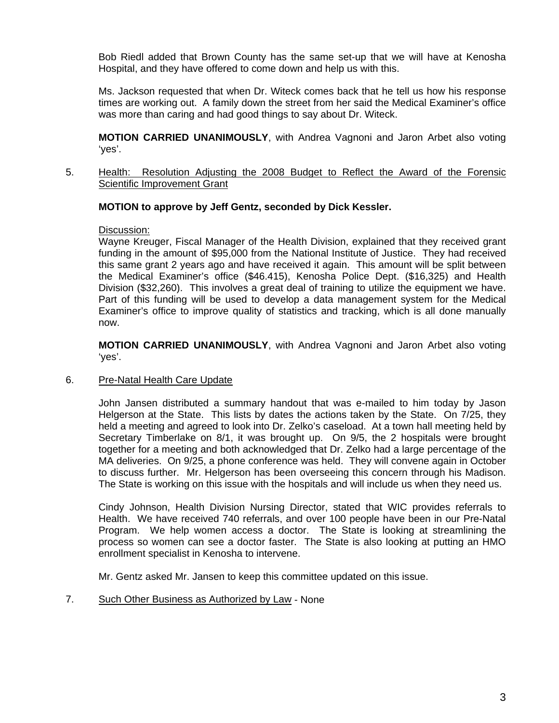Bob Riedl added that Brown County has the same set-up that we will have at Kenosha Hospital, and they have offered to come down and help us with this.

 Ms. Jackson requested that when Dr. Witeck comes back that he tell us how his response times are working out. A family down the street from her said the Medical Examiner's office was more than caring and had good things to say about Dr. Witeck.

**MOTION CARRIED UNANIMOUSLY**, with Andrea Vagnoni and Jaron Arbet also voting 'yes'.

5. Health: Resolution Adjusting the 2008 Budget to Reflect the Award of the Forensic Scientific Improvement Grant

# **MOTION to approve by Jeff Gentz, seconded by Dick Kessler.**

### Discussion:

 Wayne Kreuger, Fiscal Manager of the Health Division, explained that they received grant funding in the amount of \$95,000 from the National Institute of Justice. They had received this same grant 2 years ago and have received it again. This amount will be split between the Medical Examiner's office (\$46.415), Kenosha Police Dept. (\$16,325) and Health Division (\$32,260). This involves a great deal of training to utilize the equipment we have. Part of this funding will be used to develop a data management system for the Medical Examiner's office to improve quality of statistics and tracking, which is all done manually now.

**MOTION CARRIED UNANIMOUSLY**, with Andrea Vagnoni and Jaron Arbet also voting 'yes'.

# 6. Pre-Natal Health Care Update

 John Jansen distributed a summary handout that was e-mailed to him today by Jason Helgerson at the State. This lists by dates the actions taken by the State. On 7/25, they held a meeting and agreed to look into Dr. Zelko's caseload. At a town hall meeting held by Secretary Timberlake on 8/1, it was brought up. On 9/5, the 2 hospitals were brought together for a meeting and both acknowledged that Dr. Zelko had a large percentage of the MA deliveries. On 9/25, a phone conference was held. They will convene again in October to discuss further. Mr. Helgerson has been overseeing this concern through his Madison. The State is working on this issue with the hospitals and will include us when they need us.

 Cindy Johnson, Health Division Nursing Director, stated that WIC provides referrals to Health. We have received 740 referrals, and over 100 people have been in our Pre-Natal Program. We help women access a doctor. The State is looking at streamlining the process so women can see a doctor faster. The State is also looking at putting an HMO enrollment specialist in Kenosha to intervene.

Mr. Gentz asked Mr. Jansen to keep this committee updated on this issue.

# 7. Such Other Business as Authorized by Law - None